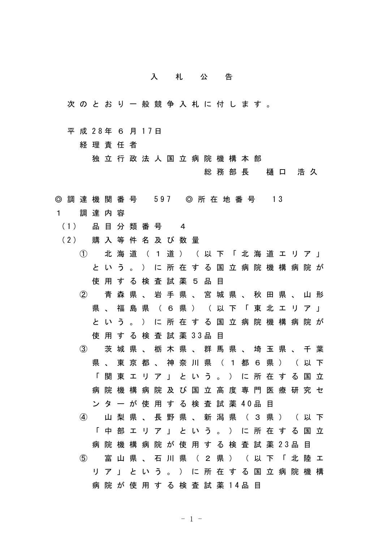## 入札公告

- 次のとおり一般競争入札に付します。
- 平 成 28年 6 月 17日

経理責任者

独立行政法人国立病院機構本部

総務部長 樋口 浩久

- ◎ 調 達 機 関 番 号 597 ◎ 所 在 地 番 号 13
- 1 調達内容
	- (1) 品 目 分 類 番 号 4
	- (2) 購 入 等 件 名 及 び 数 量
		- ① 北海道(1道)(以下「北海道エリア」 という。)に所在する国立病院機構病院が 使用する検査試薬5品目
		- ② 青森県、岩手県、宮城県、秋田県、山形 県、福島県 (6県) (以下「東北エリア」 という。)に所在する国立病院機構病院が 使 用 す る 検 査 試 薬 33品 目
		- ③ 茨城県、栃木県、群馬県、埼玉県、千葉 県、東京都、神奈川県 (1都6県) (以下 「関東エリア」という。)に所在する国立 病院機構病院及び国立高度専門医療研究セ ン タ ー が 使 用 す る 検 査 試 薬 40品 目
		- ④ 山梨県、長野県、新潟県(3県)(以下 「中部エリア」という。)に所在する国立 病 院 機 構 病 院 が 使 用 す る 検 査 試 薬 23品 目 ⑤ 富山県、石川県(2県)(以下「北陸エ リア」という。)に所在する国立病院機構 病 院 が 使 用 す る 検 査 試 薬 14品 目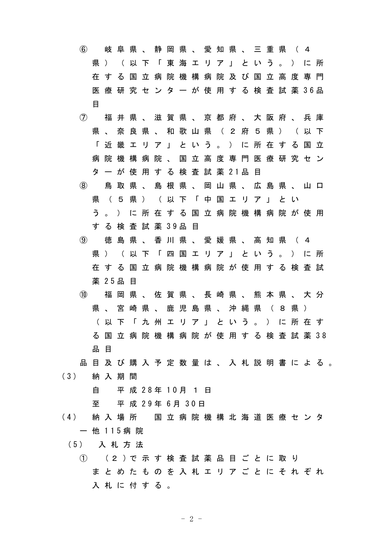| $\left( 6\right)$ |     | 岐                                                             | 阜   | 県  | $\sim$       | 静      | 岡                                 |   |   |   | 県、愛知県 |             | 、三重   |      | 県                                                    | $\sqrt{2}$ | 4                                     |                                           |
|-------------------|-----|---------------------------------------------------------------|-----|----|--------------|--------|-----------------------------------|---|---|---|-------|-------------|-------|------|------------------------------------------------------|------------|---------------------------------------|-------------------------------------------|
|                   | 県   | $\rightarrow$                                                 |     | (以 | 下            |        | 「 東 海 エ                           |   |   |   |       | リア」という      |       |      | $\circ$                                              |            | ) に 所                                 |                                           |
|                   |     | 在する                                                           |     | 国  | 立            | 病      | 院 機 構                             |   |   | 病 |       | 院 及 び 国 立 高 |       |      |                                                      | 度          | 専 門                                   |                                           |
|                   |     |                                                               |     |    |              |        |                                   |   |   |   |       |             |       |      |                                                      |            | 医 療 研 究 セ ン タ ー が 使 用 す る 検 査 試 薬 36品 |                                           |
|                   | 目   |                                                               |     |    |              |        |                                   |   |   |   |       |             |       |      |                                                      |            |                                       |                                           |
| $\mathcal{L}$     |     |                                                               |     |    |              |        |                                   |   |   |   |       |             |       |      |                                                      |            | 福 井 県 、 滋 賀 県 、 京 都 府 、 大 阪 府 、 兵 庫   |                                           |
|                   |     | 県 、 奈 良 県                                                     |     |    |              |        | 、 和 歌 山 県 ( 2 府 5 県               |   |   |   |       |             |       |      | $\left( \begin{array}{c} 0 \\ 0 \end{array} \right)$ |            | 以下                                    |                                           |
|                   |     | 「近                                                            | 畿   | 工  | - IJ -       | ア      | J.                                |   |   |   | という。) |             |       | に所在す |                                                      | る          | 国立                                    |                                           |
|                   | 病   | 院                                                             | 機   | 構  | 病            | 院      | $\sim$                            |   |   |   |       |             |       |      |                                                      |            | 国 立 高 度 専 門 医 療 研 究 セ ン               |                                           |
|                   | タ   | ーが                                                            |     | 使  |              |        | 用する                               |   |   |   |       | 検 査 試 薬 21品 | 目     |      |                                                      |            |                                       |                                           |
| (8)               |     | 鳥                                                             | 取   | 県  | $\sim$       |        | 島根県、                              |   |   |   |       |             |       |      |                                                      |            | 岡 山 県 、 広 島 県 、 山 口                   |                                           |
|                   | 県   | (5                                                            |     | 県  | $\big)$      |        | (以下「中国エリ                          |   |   |   |       |             |       | ア」   | とい                                                   |            |                                       |                                           |
|                   | う   |                                                               |     |    |              |        |                                   |   |   |   |       |             |       |      |                                                      |            | ) に 所 在 す る 国 立 病 院 機 構 病 院 が 使 用     |                                           |
|                   | す   | る                                                             |     |    |              |        | 検 査 試 薬 39品                       |   | 目 |   |       |             |       |      |                                                      |            |                                       |                                           |
| $\circled{9}$     |     | 徳                                                             | 島 県 |    | $\mathbf{A}$ | 香      | 川県、愛媛県                            |   |   |   |       |             | 、 高 知 |      | くい 県の (                                              |            | 4                                     |                                           |
|                   | 県   | $\left( \begin{array}{cc} 0 & 0 \\ 0 & 0 \end{array} \right)$ |     | 以  | 下            | $\Box$ | 四                                 | 国 | 工 |   |       | リア」という。     |       |      |                                                      |            | ) に 所                                 |                                           |
|                   | 在   | する                                                            |     |    |              |        |                                   |   |   |   |       |             |       |      |                                                      |            | 国 立 病 院 機 構 病 院 が 使 用 す る 検 査 試       |                                           |
|                   | 薬   | 25品                                                           |     | 目  |              |        |                                   |   |   |   |       |             |       |      |                                                      |            |                                       |                                           |
| (10)              |     | 福                                                             | 岡   | 県  |              |        | 、 佐 賀 県 、 長 崎 県                   |   |   |   |       |             |       |      |                                                      |            | 、 熊 本 県 、 大 分                         |                                           |
|                   |     | 県、                                                            | 宮   | 崎  | 県            |        | 、 鹿 児 島                           |   |   |   | 県、    | 沖 縄         | 県     | ( 8  |                                                      | 県)         |                                       |                                           |
|                   |     |                                                               |     |    |              |        |                                   |   |   |   |       |             |       |      |                                                      |            | ( 以 下 「 九 州 エ リ ア 」 と い う 。 ) に 所 在 す |                                           |
|                   |     | る国                                                            |     |    |              |        |                                   |   |   |   |       |             |       |      |                                                      |            | 立 病 院 機 構 病 院 が 使 用 す る 検 査 試 薬 38    |                                           |
|                   | 品 目 |                                                               |     |    |              |        |                                   |   |   |   |       |             |       |      |                                                      |            |                                       |                                           |
|                   |     |                                                               |     |    |              |        |                                   |   |   |   |       |             |       |      |                                                      |            |                                       | 品 目 及 び 購 入 予 定 数 量 は 、 入 札 説 明 書 に よ る 。 |
| (3)               |     | 納入期間                                                          |     |    |              |        |                                   |   |   |   |       |             |       |      |                                                      |            |                                       |                                           |
|                   | 自   |                                                               |     |    |              |        | 平 成 28年 10月 1 日                   |   |   |   |       |             |       |      |                                                      |            |                                       |                                           |
|                   | 至   |                                                               |     |    |              |        | 平 成 29年 6月 30日                    |   |   |   |       |             |       |      |                                                      |            |                                       |                                           |
| (4)               |     |                                                               |     |    |              |        |                                   |   |   |   |       |             |       |      |                                                      |            | 納 入 場 所 国 立 病 院 機 構 北 海 道 医 療 セ ン タ   |                                           |
|                   |     | 一 他 115病 院                                                    |     |    |              |        |                                   |   |   |   |       |             |       |      |                                                      |            |                                       |                                           |
| (5) 入札方法          |     |                                                               |     |    |              |        |                                   |   |   |   |       |             |       |      |                                                      |            |                                       |                                           |
|                   |     |                                                               |     |    |              |        | ① (2 )で 示 す 検 査 試 薬 品 目 ご と に 取 り |   |   |   |       |             |       |      |                                                      |            |                                       |                                           |
|                   |     |                                                               |     |    |              |        |                                   |   |   |   |       |             |       |      |                                                      |            | ま と め た も の を 入 札 エ リ ア ご と に そ れ ぞ れ |                                           |
|                   |     | 入 札 に 付 す る 。                                                 |     |    |              |        |                                   |   |   |   |       |             |       |      |                                                      |            |                                       |                                           |

-2-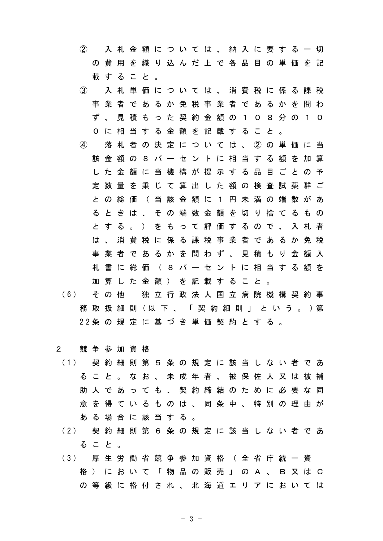② 入札金額については、納入に要する一切 の費用を織り込んだ上で各品目の単価を記 載すること。

- ③ 入札単価については、消費税に係る課税 事業者であるか免税事業者であるかを問わ ず、見積もった契約金額の108分の10 0に相当する金額を記載すること。
- ④ 落札者の決定については、②の単価に当 該金額の8パーセントに相当する額を加算 した金額に当機構が提示する品目ごとの予 定数量を乗じて算出した額の検査試薬群ご との総価(当該金額に1円未満の端数があ るときは、その端数金額を切り捨てるもの とする。)をもって評価するので、入札者 は、消費税に係る課税事業者であるか免税 事業者であるかを問わず、見積もり金額入 札書に総価(8パーセントに相当する額を 加算した金額)を記載すること。
- (6) そ の 他 独 立 行 政 法 人 国 立 病 院 機 構 契 約 事 務 取 扱 細 則 (以 下 、 「 契 約 細 則 」 と い う 。 )第 22条 の 規 定 に 基 づ き 単 価 契 約 と す る 。
- 2 競争参加資格
- (1) 契 約 細 則 第 5 条 の 規 定 に 該 当 し な い 者 で あ ること。なお、未成年者、被保佐人又は被補 助 人 で あ っ て も 、 契 約 締 結 の た め に 必 要 な 同 意を得ているものは、同条中、特別の理由が ある場合に該当する。
- (2) 契 約 細 則 第 6 条 の 規 定 に 該 当 し な い 者 で あ ること。
- (3) 厚 生 労 働 省 競 争 参 加 資 格 ( 全 省 庁 統 一 資 格)において「物品の販売」のA、B又はC の等級に格付され、北海道エリアにおいては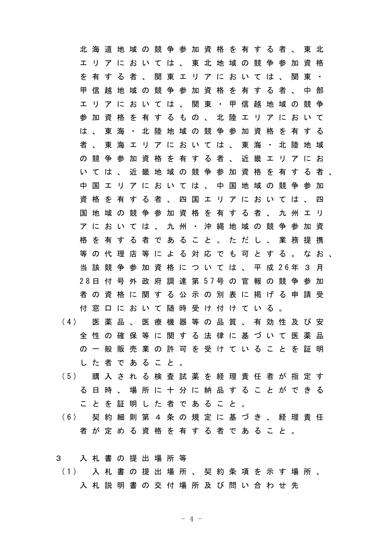|                                           |          | 北海道        |           |              |           |  |  |                                 |  |  | 地 域 の 競 争 参 加 資 格 を 有 す る 者 、               |   | 東 北 |   |  |
|-------------------------------------------|----------|------------|-----------|--------------|-----------|--|--|---------------------------------|--|--|---------------------------------------------|---|-----|---|--|
|                                           | ᆂ        |            |           |              |           |  |  |                                 |  |  | リ ア に お い て は 、 東 北 地 域 の 競 争 参 加           |   | 資 格 |   |  |
|                                           | ぞ        |            |           |              |           |  |  |                                 |  |  | 有 す る 者 、 関 東 エ リ ア に お い て は 、 関           |   | 東   |   |  |
|                                           | 甲        | 信          | 越         |              |           |  |  |                                 |  |  | 地 域 の 競 争 参 加 資 格 を 有 す る 者 、 中 部           |   |     |   |  |
|                                           | ェ        |            |           |              |           |  |  |                                 |  |  | リ ア に お い て は 、 関 東 ・ 甲 信 越 地 域 の           |   | 競   | 争 |  |
|                                           | 参        | 加          | 資         | 格            |           |  |  |                                 |  |  | を 有 す る も の 、 北 陸 エ リ ア に お い て             |   |     |   |  |
|                                           |          | は、         | 東         | 海            |           |  |  | ・ 北 陸 地 域 の 競 争 参 加 資 格 を       |  |  |                                             | 有 | する  |   |  |
|                                           | 者        | $\Delta$ . | 東海        |              |           |  |  | ェ リ ア に お い て は 、 東 海           |  |  | ・北陸                                         |   | 地 域 |   |  |
|                                           | $\sigma$ | 競          | 争 参       |              | 加         |  |  | 資 格 を 有 す る 者 、                 |  |  | 近 畿 エ リ ア に お                               |   |     |   |  |
|                                           |          | いては        |           | $\mathbf{A}$ |           |  |  |                                 |  |  | 近 畿 地 域 の 競 争 参 加 資 格 を 有 す る 者             |   |     |   |  |
|                                           | 中        |            |           |              |           |  |  |                                 |  |  | 国 ェ リ ア に お い て は 、 中 国 地 域 の 競 争 参         |   |     | 加 |  |
|                                           | 資        |            | 格を有       |              |           |  |  |                                 |  |  | す る 者 、 四 国 エ リ ア に お い て は 、 四             |   |     |   |  |
|                                           | 国        | 地          |           |              | 域 の 競 争 参 |  |  | 加 資 格 を 有 す る 者 、               |  |  | 九州エリ                                        |   |     |   |  |
|                                           |          |            |           |              |           |  |  | ア に お い て は 、 九 州 ・ 沖 縄 地 域 の 競 |  |  | 争 参 加                                       |   |     | 資 |  |
|                                           |          |            | 格を有       |              |           |  |  | す る 者 で あ る こ と 。               |  |  | ただし、業務                                      |   | 提   | 携 |  |
|                                           |          |            | 等の代理      |              |           |  |  |                                 |  |  | 店 等 に よ る 対 応 で も 可 と す る 。                 |   | なお  |   |  |
|                                           |          |            |           |              |           |  |  |                                 |  |  | 当 該 競 争 参 加 資 格 に つ い て は 、 平 成 2 6 年 3 月   |   |     |   |  |
|                                           |          |            |           |              |           |  |  |                                 |  |  | 2 8 日 付 号 外 政 府 調 達 第 5 7 号 の 官 報 の 競 争 参 加 |   |     |   |  |
|                                           |          |            |           |              |           |  |  |                                 |  |  | 者 の 資 格 に 関 す る 公 示 の 別 表 に 掲 げ る 申 請 受     |   |     |   |  |
|                                           | 付        | 窓          |           |              |           |  |  | ロ に お い て 随 時 受 け 付 け て い る     |  |  |                                             |   |     |   |  |
| (4)                                       |          |            |           |              |           |  |  |                                 |  |  | 医薬品、 医 療 機 器 等 の 品 質 、 有 効 性 及 び 安          |   |     |   |  |
|                                           |          |            |           |              |           |  |  |                                 |  |  | 全 性 の 確 保 等 に 関 す る 法 律 に 基 づ い て 医 薬 品     |   |     |   |  |
|                                           |          |            |           |              |           |  |  |                                 |  |  | の 一 般 販 売 業 の 許 可 を 受 け て い る こ と を 証 明     |   |     |   |  |
|                                           |          |            | した者であること。 |              |           |  |  |                                 |  |  |                                             |   |     |   |  |
| (5)                                       |          |            |           |              |           |  |  |                                 |  |  | 購 入 さ れ る 検 査 試 薬 を 経 理 責 任 者 が 指 定 す       |   |     |   |  |
|                                           | る        |            | 日時、       |              |           |  |  |                                 |  |  | 場 所 に 十 分 に 納 品 す る こ と が で き る             |   |     |   |  |
|                                           |          |            |           |              |           |  |  | こ と を 証 明 し た 者 で あ る こ と 。     |  |  |                                             |   |     |   |  |
| (6) 契 約 細 則 第 4 条 の 規 定 に 基 づ き 、 経 理 責 任 |          |            |           |              |           |  |  |                                 |  |  |                                             |   |     |   |  |
|                                           |          |            |           |              |           |  |  |                                 |  |  | 者 が 定 め る 資 格 を 有 す る 者 で あ る こ と 。         |   |     |   |  |

3 入札書の提出場所等 (1) 入 札 書 の 提 出 場 所 、 契 約 条 項 を 示 す 場 所 、 入札説明書の交付場所及び問い合わせ先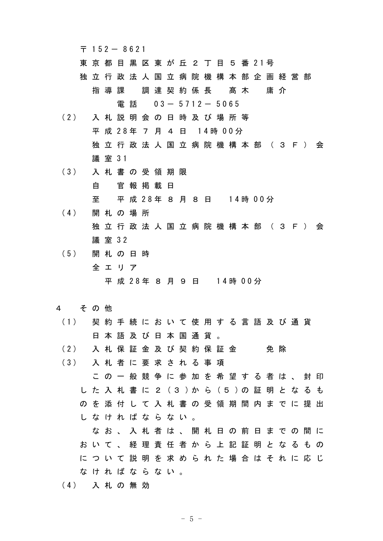$7152 - 8621$ 

- 東 京 都 目 黒 区 東 が 丘 2 丁 目 5 番 21号
- 独立行政法人国立病院機構本部企画経営部 指導課 調達契約係長 髙木 庸介

電話 03- 5712- 5065

- (2) 入 札 説 明 会 の 日 時 及 び 場 所 等 平 成 28年 7 月 4 日 14時 00分 独立行政法人国立病院機構本部(3F)会 議 室 31
- (3) 入 札 書 の 受 領 期 限
	- 自 官報掲載日

至 平 成 28年 8 月 8 日 14時 00分

- (4) 開 札 の 場 所 独立行政法人国立病院機構本部 (3F) 会 議 室 32
- (5) 開 札 の 日 時 全エリア 平 成 28年 8 月 9 日 14時 00分

## 4 その他

- (1) 契 約 手 続 に お い て 使 用 す る 言 語 及 び 通 貨 日本語及び日本国通貨。
- (2) 入 札 保 証 金 及 び 契 約 保 証 金 の 免 除
- (3) 入 札 者 に 要 求 さ れ る 事 項 この一般競争に参加を希望する者は、封印 し た 入 札 書 に 2 (3 )か ら (5 )の 証 明 と な る も のを添付して入札書の受領期間内までに提出 しなければならない。 なお、入札者は、開札日の前日までの間に

おいて、経理責任者から上記証明となるもの について説明を求められた場合はそれに応じ なければならない。

(4) 入 札 の 無 効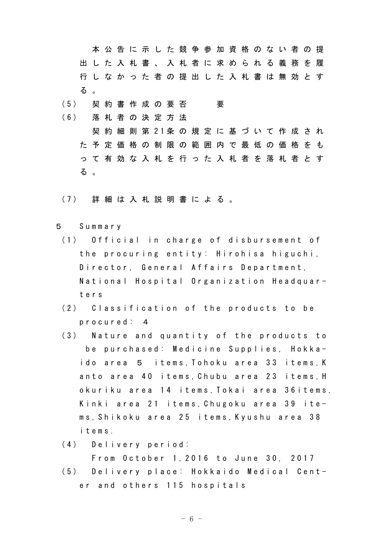本公告に示した競争参加資格のない者の提 出した入札書、入札者に求められる義務を履 行しなかった者の提出した入札書は無効とす る 。

- (5) 契約書作成の要否 要
- (6) 落 札 者 の 決 定 方 法 契 約 細 則 第 21条 の 規 定 に 基 づ い て 作 成 さ れ た予定価格の制限の範囲内で最低の価格をも って有効な入札を行った入札者を落札者とす る 。
- (7) 詳 細 は 入 札 説 明 書 に よ る 。
- 5 Summary
	- (1) Official in charge of disbursement of the procuring entity: Hirohisa higuchi, Director, General Affairs Department, National Hospital Organization Headquarters
	- (2) Classification of the products to be procured: 4
	- (3) Nature and quantity of the products to be purchased: Medicine Supplies, Hokkaido area 5 items,Tohoku area 33 items,K anto area 40 items,Chubu area 23 items,H okuriku area 14 items,Tokai area 36items, Kinki area 21 items,Chugoku area 39 items,Shikoku area 25 items,Kyushu area 38 items.
	- (4) Delivery period:

From October 1,2016 to June 30, 2017

(5) Delivery place: Hokkaido Medical Center and others 115 hospitals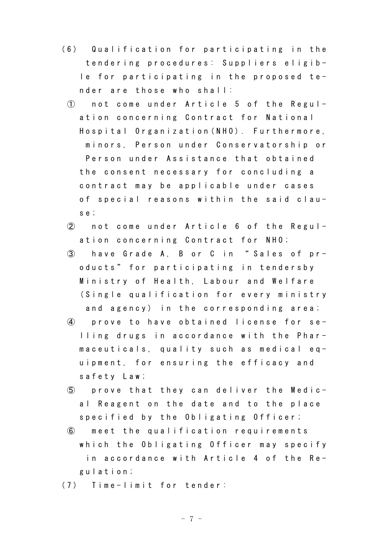- (6) Qualification for participating in the tendering procedures: Suppliers eligible for participating in the proposed tender are those who shall:
- ① not come under Article 5 of the Regulation concerning Contract for National Hospital Organization(NHO). Furthermore, minors, Person under Conservatorship or Person under Assistance that obtained the consent necessary for concluding a contract may be applicable under cases of special reasons within the said clause;
- ② not come under Article 6 of the Regulation concerning Contract for NHO;
- ③ have Grade A, B or C in " Sales of products" for participating in tendersby Ministry of Health, Labour and Welfare (Single qualification for every ministry and agency) in the corresponding area;
- ④ prove to have obtained license for selling drugs in accordance with the Pharmaceuticals, quality such as medical equipment, for ensuring the efficacy and safety Law;
- ⑤ prove that they can deliver the Medical Reagent on the date and to the place specified by the Obligating Officer;
- ⑥ meet the qualification requirements which the Obligating Officer may specify in accordance with Article 4 of the Regulation;
- (7) Time-limit for tender: